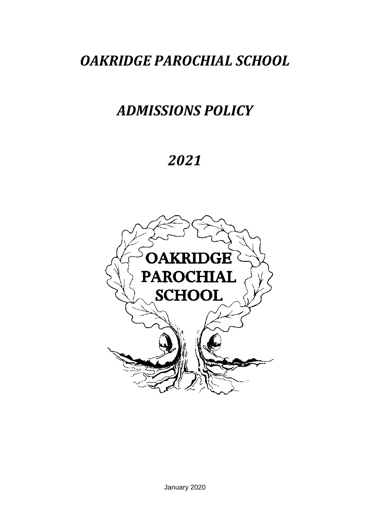## *OAKRIDGE PAROCHIAL SCHOOL*

## *ADMISSIONS POLICY*

# *2021*

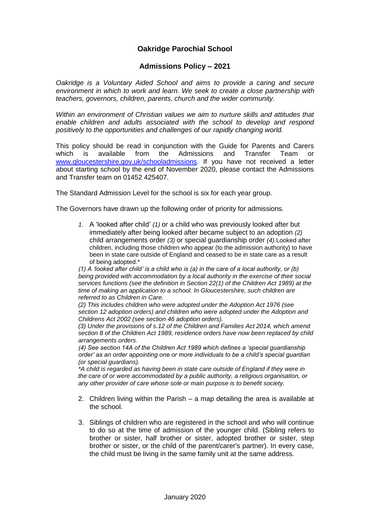### **Oakridge Parochial School**

#### **Admissions Policy – 2021**

*Oakridge is a Voluntary Aided School and aims to provide a caring and secure environment in which to work and learn. We seek to create a close partnership with teachers, governors, children, parents, church and the wider community.*

*Within an environment of Christian values we aim to nurture skills and attitudes that enable children and adults associated with the school to develop and respond positively to the opportunities and challenges of our rapidly changing world.*

This policy should be read in conjunction with the Guide for Parents and Carers which is available from the Admissions and Transfer Team or [www.gloucestershire.gov.uk/schooladmissions.](http://www.gloucestershire.gov.uk/schooladmissions) If you have not received a letter about starting school by the end of November 2020, please contact the Admissions and Transfer team on 01452 425407.

The Standard Admission Level for the school is six for each year group.

The Governors have drawn up the following order of priority for admissions.

*1.* A 'looked after child' *(1)* or a child who was previously looked after but immediately after being looked after became subject to an adoption *(2)* child arrangements order *(3)* or special guardianship order *(4).*Looked after children, including those children who appear (to the admission authority) to have been in state care outside of England and ceased to be in state care as a result of being adopted.\*

*(1) A 'looked after child' is a child who is (a) in the care of a local authority, or (b) being provided with accommodation by a local authority in the exercise of their social services functions (see the definition in Section 22(1) of the Children Act 1989) at the time of making an application to a school. In Gloucestershire, such children are referred to as Children in Care.*

*(2) This includes children who were adopted under the Adoption Act 1976 (see section 12 adoption orders) and children who were adopted under the Adoption and Childrens Act 2002 (see section 46 adoption orders).*

*(3) Under the provisions of s.12 of the Children and Families Act 2014, which amend section 8 of the Children Act 1989, residence orders have now been replaced by child arrangements orders.*

*(4) See section 14A of the Children Act 1989 which defines a 'special guardianship order' as an order appointing one or more individuals to be a child's special guardian (or special guardians).*

*\*A child is regarded as having been in state care outside of England if they were in the care of or were accommodated by a public authority, a religious organisation, or any other provider of care whose sole or main purpose is to benefit society.*

- 2. Children living within the Parish a map detailing the area is available at the school.
- 3. Siblings of children who are registered in the school and who will continue to do so at the time of admission of the younger child. (Sibling refers to brother or sister, half brother or sister, adopted brother or sister, step brother or sister, or the child of the parent/carer's partner). In every case, the child must be living in the same family unit at the same address.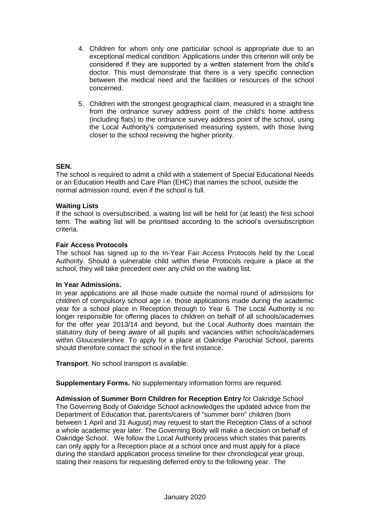- 4. Children for whom only one particular school is appropriate due to an exceptional medical condition. Applications under this criterion will only be considered if they are supported by a written statement from the child's doctor. This must demonstrate that there is a very specific connection between the medical need and the facilities or resources of the school concerned.
- 5. Children with the strongest geographical claim, measured in a straight line from the ordnance survey address point of the child's home address (including flats) to the ordnance survey address point of the school, using the Local Authority's computerised measuring system, with those living closer to the school receiving the higher priority.

#### **SEN.**

The school is required to admit a child with a statement of Special Educational Needs or an Education Health and Care Plan (EHC) that names the school, outside the normal admission round, even if the school is full.

#### **Waiting Lists**

If the school is oversubscribed, a waiting list will be held for (at least) the first school term. The waiting list will be prioritised according to the school's oversubscription criteria.

#### **Fair Access Protocols**

The school has signed up to the In-Year Fair Access Protocols held by the Local Authority. Should a vulnerable child within these Protocols require a place at the school, they will take precedent over any child on the waiting list.

#### **In Year Admissions.**

In year applications are all those made outside the normal round of admissions for children of compulsory school age i.e. those applications made during the academic year for a school place in Reception through to Year 6. The Local Authority is no longer responsible for offering places to children on behalf of all schools/academies for the offer year 2013/14 and beyond, but the Local Authority does maintain the statutory duty of being aware of all pupils and vacancies within schools/academies within Gloucestershire. To apply for a place at Oakridge Parochial School, parents should therefore contact the school in the first instance.

**Transport**. No school transport is available.

**Supplementary Forms.** No supplementary information forms are required.

**Admission of Summer Born Children for Reception Entry** for Oakridge School The Governing Body of Oakridge School acknowledges the updated advice from the Department of Education that, parents/carers of "summer born" children (born between 1 April and 31 August) may request to start the Reception Class of a school a whole academic year later. The Governing Body will make a decision on behalf of Oakridge School. We follow the Local Authority process which states that parents can only apply for a Reception place at a school once and must apply for a place during the standard application process timeline for their chronological year group, stating their reasons for requesting deferred entry to the following year. The